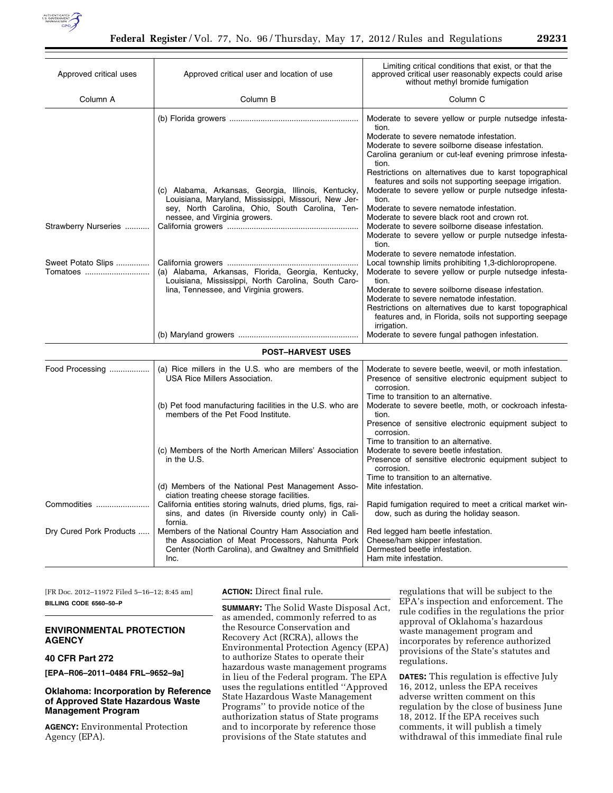

| Approved critical uses         | Approved critical user and location of use                                                                                                                                                                                         | Limiting critical conditions that exist, or that the<br>approved critical user reasonably expects could arise<br>without methyl bromide fumigation                                                                                                                                                                                                                                                                                                                                                                                                                                                                                           |  |  |
|--------------------------------|------------------------------------------------------------------------------------------------------------------------------------------------------------------------------------------------------------------------------------|----------------------------------------------------------------------------------------------------------------------------------------------------------------------------------------------------------------------------------------------------------------------------------------------------------------------------------------------------------------------------------------------------------------------------------------------------------------------------------------------------------------------------------------------------------------------------------------------------------------------------------------------|--|--|
| Column A                       | Column B                                                                                                                                                                                                                           | Column <sub>C</sub>                                                                                                                                                                                                                                                                                                                                                                                                                                                                                                                                                                                                                          |  |  |
| Strawberry Nurseries           | (c) Alabama, Arkansas, Georgia, Illinois, Kentucky,<br>Louisiana, Maryland, Mississippi, Missouri, New Jer-<br>sey, North Carolina, Ohio, South Carolina, Ten-<br>nessee, and Virginia growers.                                    | Moderate to severe yellow or purple nutsedge infesta-<br>tion.<br>Moderate to severe nematode infestation.<br>Moderate to severe soilborne disease infestation.<br>Carolina geranium or cut-leaf evening primrose infesta-<br>tion.<br>Restrictions on alternatives due to karst topographical<br>features and soils not supporting seepage irrigation.<br>Moderate to severe yellow or purple nutsedge infesta-<br>tion.<br>Moderate to severe nematode infestation.<br>Moderate to severe black root and crown rot.<br>Moderate to severe soilborne disease infestation.<br>Moderate to severe yellow or purple nutsedge infesta-<br>tion. |  |  |
| Sweet Potato Slips<br>Tomatoes | (a) Alabama, Arkansas, Florida, Georgia, Kentucky,<br>Louisiana, Mississippi, North Carolina, South Caro-<br>lina, Tennessee, and Virginia growers.                                                                                | Moderate to severe nematode infestation.<br>Local township limits prohibiting 1,3-dichloropropene.<br>Moderate to severe yellow or purple nutsedge infesta-<br>tion.<br>Moderate to severe soilborne disease infestation.<br>Moderate to severe nematode infestation.<br>Restrictions on alternatives due to karst topographical<br>features and, in Florida, soils not supporting seepage<br>irrigation.<br>Moderate to severe fungal pathogen infestation.                                                                                                                                                                                 |  |  |
| <b>POST-HARVEST USES</b>       |                                                                                                                                                                                                                                    |                                                                                                                                                                                                                                                                                                                                                                                                                                                                                                                                                                                                                                              |  |  |
| Food Processing                | (a) Rice millers in the U.S. who are members of the<br>USA Rice Millers Association.<br>(b) Pet food manufacturing facilities in the U.S. who are<br>members of the Pet Food Institute.                                            | Moderate to severe beetle, weevil, or moth infestation.<br>Presence of sensitive electronic equipment subject to<br>corrosion.<br>Time to transition to an alternative.<br>Moderate to severe beetle, moth, or cockroach infesta-<br>tion.<br>Presence of sensitive electronic equipment subject to<br>corrosion.                                                                                                                                                                                                                                                                                                                            |  |  |
|                                | (c) Members of the North American Millers' Association<br>in the U.S.                                                                                                                                                              | Time to transition to an alternative.<br>Moderate to severe beetle infestation.<br>Presence of sensitive electronic equipment subject to<br>corrosion.<br>Time to transition to an alternative.                                                                                                                                                                                                                                                                                                                                                                                                                                              |  |  |
| Commodities                    | (d) Members of the National Pest Management Asso-<br>ciation treating cheese storage facilities.<br>California entities storing walnuts, dried plums, figs, rai-<br>sins, and dates (in Riverside county only) in Cali-<br>fornia. | Mite infestation.<br>Rapid fumigation required to meet a critical market win-<br>dow, such as during the holiday season.                                                                                                                                                                                                                                                                                                                                                                                                                                                                                                                     |  |  |
| Dry Cured Pork Products        | Members of the National Country Ham Association and<br>the Association of Meat Processors, Nahunta Pork<br>Center (North Carolina), and Gwaltney and Smithfield<br>Inc.                                                            | Red legged ham beetle infestation.<br>Cheese/ham skipper infestation.<br>Dermested beetle infestation.<br>Ham mite infestation.                                                                                                                                                                                                                                                                                                                                                                                                                                                                                                              |  |  |

[FR Doc. 2012–11972 Filed 5–16–12; 8:45 am] **BILLING CODE 6560–50–P** 

## **ENVIRONMENTAL PROTECTION AGENCY**

# **40 CFR Part 272**

**[EPA–R06–2011–0484 FRL–9652–9a]** 

## **Oklahoma: Incorporation by Reference of Approved State Hazardous Waste Management Program**

**AGENCY:** Environmental Protection Agency (EPA).

**ACTION:** Direct final rule.

**SUMMARY:** The Solid Waste Disposal Act, as amended, commonly referred to as the Resource Conservation and Recovery Act (RCRA), allows the Environmental Protection Agency (EPA) to authorize States to operate their hazardous waste management programs in lieu of the Federal program. The EPA uses the regulations entitled ''Approved State Hazardous Waste Management Programs'' to provide notice of the authorization status of State programs and to incorporate by reference those provisions of the State statutes and

regulations that will be subject to the EPA's inspection and enforcement. The rule codifies in the regulations the prior approval of Oklahoma's hazardous waste management program and incorporates by reference authorized provisions of the State's statutes and regulations.

**DATES:** This regulation is effective July 16, 2012, unless the EPA receives adverse written comment on this regulation by the close of business June 18, 2012. If the EPA receives such comments, it will publish a timely withdrawal of this immediate final rule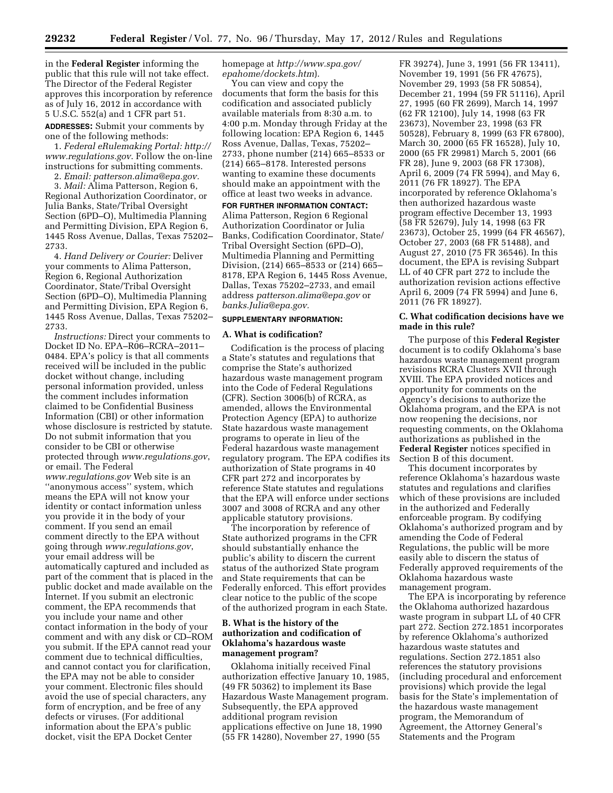in the **Federal Register** informing the public that this rule will not take effect. The Director of the Federal Register approves this incorporation by reference as of July 16, 2012 in accordance with 5 U.S.C. 552(a) and 1 CFR part 51.

**ADDRESSES:** Submit your comments by one of the following methods:

1. *Federal eRulemaking Portal: [http://](http://www.regulations.gov) [www.regulations.gov](http://www.regulations.gov)*. Follow the on-line instructions for submitting comments.

2. *Email: [patterson.alima@epa.gov.](mailto:patterson.alima@epa.gov)* 

3. *Mail:* Alima Patterson, Region 6, Regional Authorization Coordinator, or Julia Banks, State/Tribal Oversight Section (6PD–O), Multimedia Planning and Permitting Division, EPA Region 6, 1445 Ross Avenue, Dallas, Texas 75202– 2733.

4. *Hand Delivery or Courier:* Deliver your comments to Alima Patterson, Region 6, Regional Authorization Coordinator, State/Tribal Oversight Section (6PD–O), Multimedia Planning and Permitting Division, EPA Region 6, 1445 Ross Avenue, Dallas, Texas 75202– 2733.

*Instructions:* Direct your comments to Docket ID No. EPA–R06–RCRA–2011– 0484. EPA's policy is that all comments received will be included in the public docket without change, including personal information provided, unless the comment includes information claimed to be Confidential Business Information (CBI) or other information whose disclosure is restricted by statute. Do not submit information that you consider to be CBI or otherwise protected through *[www.regulations.gov](http://www.regulations.gov)*, or email. The Federal *[www.regulations.gov](http://www.regulations.gov)* Web site is an ''anonymous access'' system, which means the EPA will not know your identity or contact information unless you provide it in the body of your comment. If you send an email comment directly to the EPA without going through *[www.regulations.gov](http://www.regulations.gov)*, your email address will be automatically captured and included as part of the comment that is placed in the public docket and made available on the Internet. If you submit an electronic comment, the EPA recommends that you include your name and other contact information in the body of your comment and with any disk or CD–ROM you submit. If the EPA cannot read your comment due to technical difficulties, and cannot contact you for clarification, the EPA may not be able to consider your comment. Electronic files should avoid the use of special characters, any form of encryption, and be free of any defects or viruses. (For additional information about the EPA's public docket, visit the EPA Docket Center

homepage at *[http://www.spa.gov/](http://www.spa.gov/epahome/dockets.htm)  [epahome/dockets.htm](http://www.spa.gov/epahome/dockets.htm)*).

You can view and copy the documents that form the basis for this codification and associated publicly available materials from 8:30 a.m. to 4:00 p.m. Monday through Friday at the following location: EPA Region 6, 1445 Ross Avenue, Dallas, Texas, 75202– 2733, phone number (214) 665–8533 or (214) 665–8178. Interested persons wanting to examine these documents should make an appointment with the office at least two weeks in advance.

**FOR FURTHER INFORMATION CONTACT:**  Alima Patterson, Region 6 Regional Authorization Coordinator or Julia Banks, Codification Coordinator, State/ Tribal Oversight Section (6PD–O), Multimedia Planning and Permitting Division, (214) 665–8533 or (214) 665– 8178, EPA Region 6, 1445 Ross Avenue, Dallas, Texas 75202–2733, and email address *[patterson.alima@epa.gov](mailto:patterson.alima@epa.gov)* or *[banks.Julia@epa.gov.](mailto:banks.Julia@epa.gov)* 

#### **SUPPLEMENTARY INFORMATION:**

## **A. What is codification?**

Codification is the process of placing a State's statutes and regulations that comprise the State's authorized hazardous waste management program into the Code of Federal Regulations (CFR). Section 3006(b) of RCRA, as amended, allows the Environmental Protection Agency (EPA) to authorize State hazardous waste management programs to operate in lieu of the Federal hazardous waste management regulatory program. The EPA codifies its authorization of State programs in 40 CFR part 272 and incorporates by reference State statutes and regulations that the EPA will enforce under sections 3007 and 3008 of RCRA and any other applicable statutory provisions.

The incorporation by reference of State authorized programs in the CFR should substantially enhance the public's ability to discern the current status of the authorized State program and State requirements that can be Federally enforced. This effort provides clear notice to the public of the scope of the authorized program in each State.

### **B. What is the history of the authorization and codification of Oklahoma's hazardous waste management program?**

Oklahoma initially received Final authorization effective January 10, 1985, (49 FR 50362) to implement its Base Hazardous Waste Management program. Subsequently, the EPA approved additional program revision applications effective on June 18, 1990 (55 FR 14280), November 27, 1990 (55

FR 39274), June 3, 1991 (56 FR 13411), November 19, 1991 (56 FR 47675), November 29, 1993 (58 FR 50854), December 21, 1994 (59 FR 51116), April 27, 1995 (60 FR 2699), March 14, 1997 (62 FR 12100), July 14, 1998 (63 FR 23673), November 23, 1998 (63 FR 50528), February 8, 1999 (63 FR 67800), March 30, 2000 (65 FR 16528), July 10, 2000 (65 FR 29981) March 5, 2001 (66 FR 28), June 9, 2003 (68 FR 17308), April 6, 2009 (74 FR 5994), and May 6, 2011 (76 FR 18927). The EPA incorporated by reference Oklahoma's then authorized hazardous waste program effective December 13, 1993 (58 FR 52679), July 14, 1998 (63 FR 23673), October 25, 1999 (64 FR 46567), October 27, 2003 (68 FR 51488), and August 27, 2010 (75 FR 36546). In this document, the EPA is revising Subpart LL of 40 CFR part 272 to include the authorization revision actions effective April 6, 2009 (74 FR 5994) and June 6, 2011 (76 FR 18927).

#### **C. What codification decisions have we made in this rule?**

The purpose of this **Federal Register**  document is to codify Oklahoma's base hazardous waste management program revisions RCRA Clusters XVII through XVIII. The EPA provided notices and opportunity for comments on the Agency's decisions to authorize the Oklahoma program, and the EPA is not now reopening the decisions, nor requesting comments, on the Oklahoma authorizations as published in the **Federal Register** notices specified in Section B of this document.

This document incorporates by reference Oklahoma's hazardous waste statutes and regulations and clarifies which of these provisions are included in the authorized and Federally enforceable program. By codifying Oklahoma's authorized program and by amending the Code of Federal Regulations, the public will be more easily able to discern the status of Federally approved requirements of the Oklahoma hazardous waste management program.

The EPA is incorporating by reference the Oklahoma authorized hazardous waste program in subpart LL of 40 CFR part 272. Section 272.1851 incorporates by reference Oklahoma's authorized hazardous waste statutes and regulations. Section 272.1851 also references the statutory provisions (including procedural and enforcement provisions) which provide the legal basis for the State's implementation of the hazardous waste management program, the Memorandum of Agreement, the Attorney General's Statements and the Program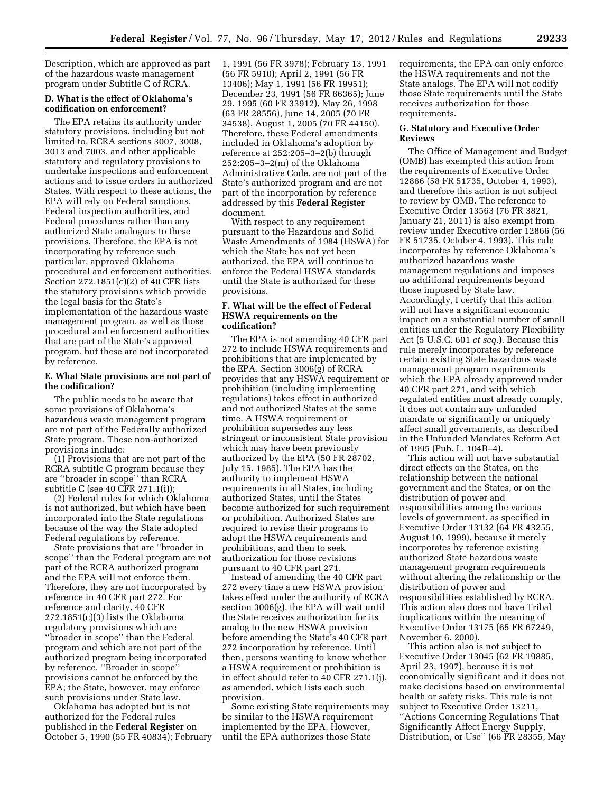Description, which are approved as part of the hazardous waste management program under Subtitle C of RCRA.

## **D. What is the effect of Oklahoma's codification on enforcement?**

The EPA retains its authority under statutory provisions, including but not limited to, RCRA sections 3007, 3008, 3013 and 7003, and other applicable statutory and regulatory provisions to undertake inspections and enforcement actions and to issue orders in authorized States. With respect to these actions, the EPA will rely on Federal sanctions, Federal inspection authorities, and Federal procedures rather than any authorized State analogues to these provisions. Therefore, the EPA is not incorporating by reference such particular, approved Oklahoma procedural and enforcement authorities. Section 272.1851(c)(2) of 40 CFR lists the statutory provisions which provide the legal basis for the State's implementation of the hazardous waste management program, as well as those procedural and enforcement authorities that are part of the State's approved program, but these are not incorporated by reference.

#### **E. What State provisions are not part of the codification?**

The public needs to be aware that some provisions of Oklahoma's hazardous waste management program are not part of the Federally authorized State program. These non-authorized provisions include:

(1) Provisions that are not part of the RCRA subtitle C program because they are ''broader in scope'' than RCRA subtitle C (see 40 CFR 271.1(i));

(2) Federal rules for which Oklahoma is not authorized, but which have been incorporated into the State regulations because of the way the State adopted Federal regulations by reference.

State provisions that are ''broader in scope'' than the Federal program are not part of the RCRA authorized program and the EPA will not enforce them. Therefore, they are not incorporated by reference in 40 CFR part 272. For reference and clarity, 40 CFR 272.1851(c)(3) lists the Oklahoma regulatory provisions which are ''broader in scope'' than the Federal program and which are not part of the authorized program being incorporated by reference. ''Broader in scope'' provisions cannot be enforced by the EPA; the State, however, may enforce such provisions under State law.

Oklahoma has adopted but is not authorized for the Federal rules published in the **Federal Register** on October 5, 1990 (55 FR 40834); February 1, 1991 (56 FR 3978); February 13, 1991 (56 FR 5910); April 2, 1991 (56 FR 13406); May 1, 1991 (56 FR 19951); December 23, 1991 (56 FR 66365); June 29, 1995 (60 FR 33912), May 26, 1998 (63 FR 28556), June 14, 2005 (70 FR 34538), August 1, 2005 (70 FR 44150). Therefore, these Federal amendments included in Oklahoma's adoption by reference at 252:205–3–2(b) through 252:205–3–2(m) of the Oklahoma Administrative Code, are not part of the State's authorized program and are not part of the incorporation by reference addressed by this **Federal Register**  document.

With respect to any requirement pursuant to the Hazardous and Solid Waste Amendments of 1984 (HSWA) for which the State has not yet been authorized, the EPA will continue to enforce the Federal HSWA standards until the State is authorized for these provisions.

### **F. What will be the effect of Federal HSWA requirements on the codification?**

The EPA is not amending 40 CFR part 272 to include HSWA requirements and prohibitions that are implemented by the EPA. Section 3006(g) of RCRA provides that any HSWA requirement or prohibition (including implementing regulations) takes effect in authorized and not authorized States at the same time. A HSWA requirement or prohibition supersedes any less stringent or inconsistent State provision which may have been previously authorized by the EPA (50 FR 28702, July 15, 1985). The EPA has the authority to implement HSWA requirements in all States, including authorized States, until the States become authorized for such requirement or prohibition. Authorized States are required to revise their programs to adopt the HSWA requirements and prohibitions, and then to seek authorization for those revisions pursuant to 40 CFR part 271.

Instead of amending the 40 CFR part 272 every time a new HSWA provision takes effect under the authority of RCRA section 3006(g), the EPA will wait until the State receives authorization for its analog to the new HSWA provision before amending the State's 40 CFR part 272 incorporation by reference. Until then, persons wanting to know whether a HSWA requirement or prohibition is in effect should refer to 40 CFR 271.1(j), as amended, which lists each such provision.

Some existing State requirements may be similar to the HSWA requirement implemented by the EPA. However, until the EPA authorizes those State

requirements, the EPA can only enforce the HSWA requirements and not the State analogs. The EPA will not codify those State requirements until the State receives authorization for those requirements.

#### **G. Statutory and Executive Order Reviews**

The Office of Management and Budget (OMB) has exempted this action from the requirements of Executive Order 12866 (58 FR 51735, October 4, 1993), and therefore this action is not subject to review by OMB. The reference to Executive Order 13563 (76 FR 3821, January 21, 2011) is also exempt from review under Executive order 12866 (56 FR 51735, October 4, 1993). This rule incorporates by reference Oklahoma's authorized hazardous waste management regulations and imposes no additional requirements beyond those imposed by State law. Accordingly, I certify that this action will not have a significant economic impact on a substantial number of small entities under the Regulatory Flexibility Act (5 U.S.C. 601 *et seq.*). Because this rule merely incorporates by reference certain existing State hazardous waste management program requirements which the EPA already approved under 40 CFR part 271, and with which regulated entities must already comply, it does not contain any unfunded mandate or significantly or uniquely affect small governments, as described in the Unfunded Mandates Reform Act of 1995 (Pub. L. 104B–4).

This action will not have substantial direct effects on the States, on the relationship between the national government and the States, or on the distribution of power and responsibilities among the various levels of government, as specified in Executive Order 13132 (64 FR 43255, August 10, 1999), because it merely incorporates by reference existing authorized State hazardous waste management program requirements without altering the relationship or the distribution of power and responsibilities established by RCRA. This action also does not have Tribal implications within the meaning of Executive Order 13175 (65 FR 67249, November 6, 2000).

This action also is not subject to Executive Order 13045 (62 FR 19885, April 23, 1997), because it is not economically significant and it does not make decisions based on environmental health or safety risks. This rule is not subject to Executive Order 13211, ''Actions Concerning Regulations That Significantly Affect Energy Supply, Distribution, or Use'' (66 FR 28355, May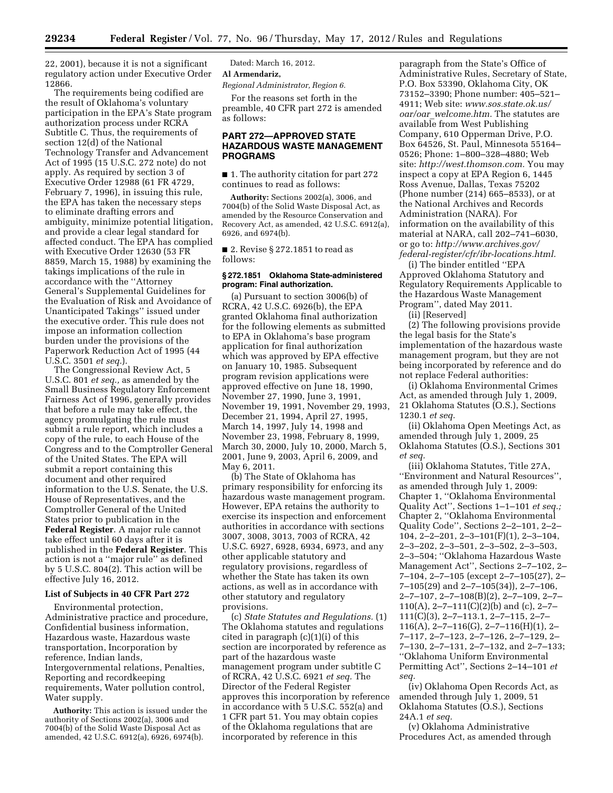22, 2001), because it is not a significant regulatory action under Executive Order 12866.

The requirements being codified are the result of Oklahoma's voluntary participation in the EPA's State program authorization process under RCRA Subtitle C. Thus, the requirements of section 12(d) of the National Technology Transfer and Advancement Act of 1995 (15 U.S.C. 272 note) do not apply. As required by section 3 of Executive Order 12988 (61 FR 4729, February 7, 1996), in issuing this rule, the EPA has taken the necessary steps to eliminate drafting errors and ambiguity, minimize potential litigation, and provide a clear legal standard for affected conduct. The EPA has complied with Executive Order 12630 (53 FR 8859, March 15, 1988) by examining the takings implications of the rule in accordance with the ''Attorney General's Supplemental Guidelines for the Evaluation of Risk and Avoidance of Unanticipated Takings'' issued under the executive order. This rule does not impose an information collection burden under the provisions of the Paperwork Reduction Act of 1995 (44 U.S.C. 3501 *et seq.*).

The Congressional Review Act, 5 U.S.C. 801 *et seq.,* as amended by the Small Business Regulatory Enforcement Fairness Act of 1996, generally provides that before a rule may take effect, the agency promulgating the rule must submit a rule report, which includes a copy of the rule, to each House of the Congress and to the Comptroller General of the United States. The EPA will submit a report containing this document and other required information to the U.S. Senate, the U.S. House of Representatives, and the Comptroller General of the United States prior to publication in the **Federal Register**. A major rule cannot take effect until 60 days after it is published in the **Federal Register**. This action is not a ''major rule'' as defined by 5 U.S.C. 804(2). This action will be effective July 16, 2012.

#### **List of Subjects in 40 CFR Part 272**

Environmental protection, Administrative practice and procedure, Confidential business information, Hazardous waste, Hazardous waste transportation, Incorporation by reference, Indian lands, Intergovernmental relations, Penalties, Reporting and recordkeeping requirements, Water pollution control, Water supply.

**Authority:** This action is issued under the authority of Sections 2002(a), 3006 and 7004(b) of the Solid Waste Disposal Act as amended, 42 U.S.C. 6912(a), 6926, 6974(b).

Dated: March 16, 2012. **Al Armendariz,** 

*Regional Administrator, Region 6.* 

For the reasons set forth in the preamble, 40 CFR part 272 is amended as follows:

## **PART 272—APPROVED STATE HAZARDOUS WASTE MANAGEMENT PROGRAMS**

■ 1. The authority citation for part 272 continues to read as follows:

**Authority:** Sections 2002(a), 3006, and 7004(b) of the Solid Waste Disposal Act, as amended by the Resource Conservation and Recovery Act, as amended, 42 U.S.C. 6912(a), 6926, and 6974(b).

■ 2. Revise § 272.1851 to read as follows:

#### **§ 272.1851 Oklahoma State-administered program: Final authorization.**

(a) Pursuant to section 3006(b) of RCRA, 42 U.S.C. 6926(b), the EPA granted Oklahoma final authorization for the following elements as submitted to EPA in Oklahoma's base program application for final authorization which was approved by EPA effective on January 10, 1985. Subsequent program revision applications were approved effective on June 18, 1990, November 27, 1990, June 3, 1991, November 19, 1991, November 29, 1993, December 21, 1994, April 27, 1995, March 14, 1997, July 14, 1998 and November 23, 1998, February 8, 1999, March 30, 2000, July 10, 2000, March 5, 2001, June 9, 2003, April 6, 2009, and May 6, 2011.

(b) The State of Oklahoma has primary responsibility for enforcing its hazardous waste management program. However, EPA retains the authority to exercise its inspection and enforcement authorities in accordance with sections 3007, 3008, 3013, 7003 of RCRA, 42 U.S.C. 6927, 6928, 6934, 6973, and any other applicable statutory and regulatory provisions, regardless of whether the State has taken its own actions, as well as in accordance with other statutory and regulatory provisions.

(c) *State Statutes and Regulations.* (1) The Oklahoma statutes and regulations cited in paragraph  $(c)(1)(i)$  of this section are incorporated by reference as part of the hazardous waste management program under subtitle C of RCRA, 42 U.S.C. 6921 *et seq.* The Director of the Federal Register approves this incorporation by reference in accordance with 5 U.S.C. 552(a) and 1 CFR part 51. You may obtain copies of the Oklahoma regulations that are incorporated by reference in this

paragraph from the State's Office of Administrative Rules, Secretary of State, P.O. Box 53390, Oklahoma City, OK 73152–3390; Phone number: 405–521– 4911; Web site: *[www.sos.state.ok.us/](http://www.sos.state.ok.us/oar/oar_welcome.htm) oar/oar*\_*[welcome.htm.](http://www.sos.state.ok.us/oar/oar_welcome.htm)* The statutes are available from West Publishing Company, 610 Opperman Drive, P.O. Box 64526, St. Paul, Minnesota 55164– 0526; Phone: 1–800–328–4880; Web site: *[http://west.thomson.com.](http://west.thomson.com)* You may inspect a copy at EPA Region 6, 1445 Ross Avenue, Dallas, Texas 75202 (Phone number (214) 665–8533), or at the National Archives and Records Administration (NARA). For information on the availability of this material at NARA, call 202–741–6030, or go to: *[http://www.archives.gov/](http://www.archives.gov/federal-register/cfr/ibr-locations.html) [federal-register/cfr/ibr-locations.html.](http://www.archives.gov/federal-register/cfr/ibr-locations.html)* 

(i) The binder entitled ''EPA Approved Oklahoma Statutory and Regulatory Requirements Applicable to the Hazardous Waste Management Program'', dated May 2011.

(ii) [Reserved]

(2) The following provisions provide the legal basis for the State's implementation of the hazardous waste management program, but they are not being incorporated by reference and do not replace Federal authorities:

(i) Oklahoma Environmental Crimes Act, as amended through July 1, 2009, 21 Oklahoma Statutes (O.S.), Sections 1230.1 *et seq.* 

(ii) Oklahoma Open Meetings Act, as amended through July 1, 2009, 25 Oklahoma Statutes (O.S.), Sections 301 *et seq.* 

(iii) Oklahoma Statutes, Title 27A, ''Environment and Natural Resources'', as amended through July 1, 2009: Chapter 1, ''Oklahoma Environmental Quality Act'', Sections 1–1–101 *et seq.;*  Chapter 2, ''Oklahoma Environmental Quality Code'', Sections 2–2–101, 2–2– 104, 2–2–201, 2–3–101(F)(1), 2–3–104, 2–3–202, 2–3–501, 2–3–502, 2–3–503, 2–3–504; ''Oklahoma Hazardous Waste Management Act'', Sections 2–7–102, 2– 7–104, 2–7–105 (except 2–7–105(27), 2– 7–105(29) and 2–7–105(34)), 2–7–106, 2–7–107, 2–7–108(B)(2), 2–7–109, 2–7– 110(A), 2–7–111(C)(2)(b) and (c), 2–7– 111(C)(3), 2–7–113.1, 2–7–115, 2–7–  $116(A), 2-7-116(G), 2-7-116(H)(1), 2-$ 7–117, 2–7–123, 2–7–126, 2–7–129, 2– 7–130, 2–7–131, 2–7–132, and 2–7–133; ''Oklahoma Uniform Environmental Permitting Act'', Sections 2–14–101 *et seq.* 

(iv) Oklahoma Open Records Act, as amended through July 1, 2009, 51 Oklahoma Statutes (O.S.), Sections 24A.1 *et seq.* 

(v) Oklahoma Administrative Procedures Act, as amended through